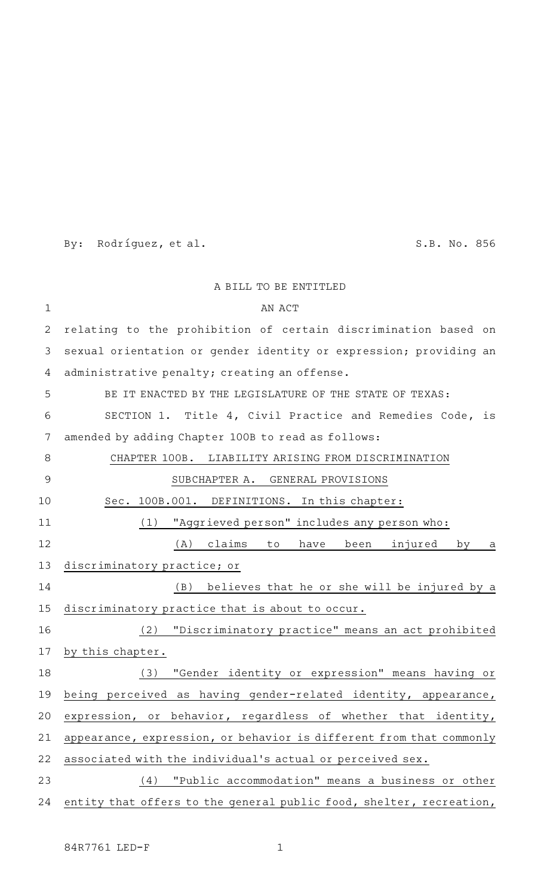By: Rodríguez, et al. S.B. No. 856

|             | A BILL TO BE ENTITLED                                               |
|-------------|---------------------------------------------------------------------|
| $\mathbf 1$ | AN ACT                                                              |
| 2           | relating to the prohibition of certain discrimination based on      |
| 3           | sexual orientation or gender identity or expression; providing an   |
| 4           | administrative penalty; creating an offense.                        |
| 5           | BE IT ENACTED BY THE LEGISLATURE OF THE STATE OF TEXAS:             |
| 6           | SECTION 1. Title 4, Civil Practice and Remedies Code, is            |
| 7           | amended by adding Chapter 100B to read as follows:                  |
| 8           | CHAPTER 100B. LIABILITY ARISING FROM DISCRIMINATION                 |
| 9           | SUBCHAPTER A. GENERAL PROVISIONS                                    |
| 10          | Sec. 100B.001. DEFINITIONS. In this chapter:                        |
| 11          | "Aggrieved person" includes any person who:<br>(1)                  |
| 12          | (A) claims to have been<br>injured<br>by<br>a                       |
| 13          | discriminatory practice; or                                         |
| 14          | (B)<br>believes that he or she will be injured by a                 |
| 15          | discriminatory practice that is about to occur.                     |
| 16          | "Discriminatory practice" means an act prohibited<br>(2)            |
| 17          | by this chapter.                                                    |
| 18          | "Gender identity or expression" means having or<br>(3)              |
| 19          | being perceived as having gender-related identity, appearance,      |
| 20          | expression, or behavior, regardless of whether that identity,       |
| 21          | appearance, expression, or behavior is different from that commonly |
| 22          | associated with the individual's actual or perceived sex.           |
| 23          | "Public accommodation" means a business or other<br>(4)             |
| 24          | entity that offers to the general public food, shelter, recreation, |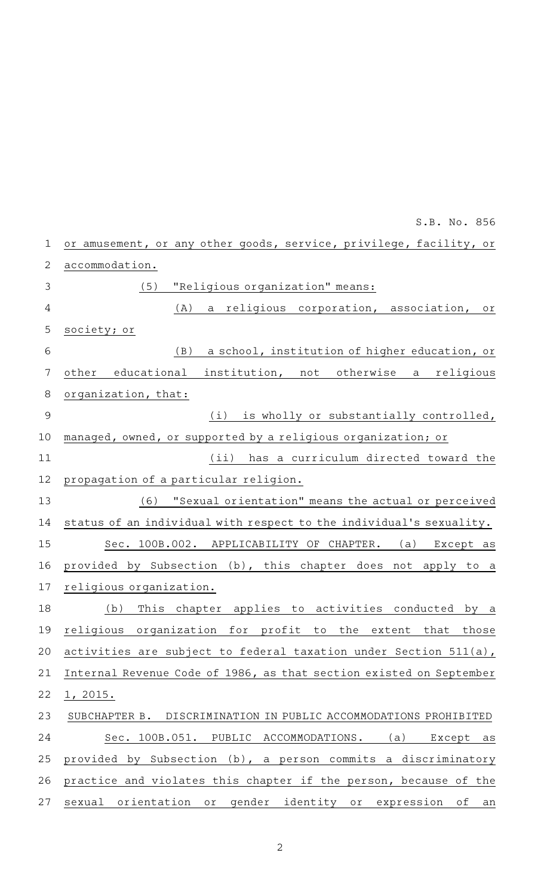or amusement, or any other goods, service, privilege, facility, or accommodation. (5) "Religious organization" means: (A) a religious corporation, association, or society; or (B) a school, institution of higher education, or other educational institution, not otherwise a religious organization, that:  $(i)$  is wholly or substantially controlled, managed, owned, or supported by a religious organization; or (ii) has a curriculum directed toward the propagation of a particular religion. (6) "Sexual orientation" means the actual or perceived status of an individual with respect to the individual 's sexuality. Sec. 100B.002. APPLICABILITY OF CHAPTER. (a) Except as provided by Subsection (b), this chapter does not apply to a religious organization. (b) This chapter applies to activities conducted by a religious organization for profit to the extent that those activities are subject to federal taxation under Section 511(a), Internal Revenue Code of 1986, as that section existed on September 1, 2015. SUBCHAPTER B. DISCRIMINATION IN PUBLIC ACCOMMODATIONS PROHIBITED Sec. 100B.051. PUBLIC ACCOMMODATIONS. (a) Except as provided by Subsection (b), a person commits a discriminatory practice and violates this chapter if the person, because of the sexual orientation or gender identity or expression of an 1 2 3 4 5 6 7 8 9 10 11 12 13 14 15 16 17 18 19 20 21 22 23 24 25 26 27

S.B. No. 856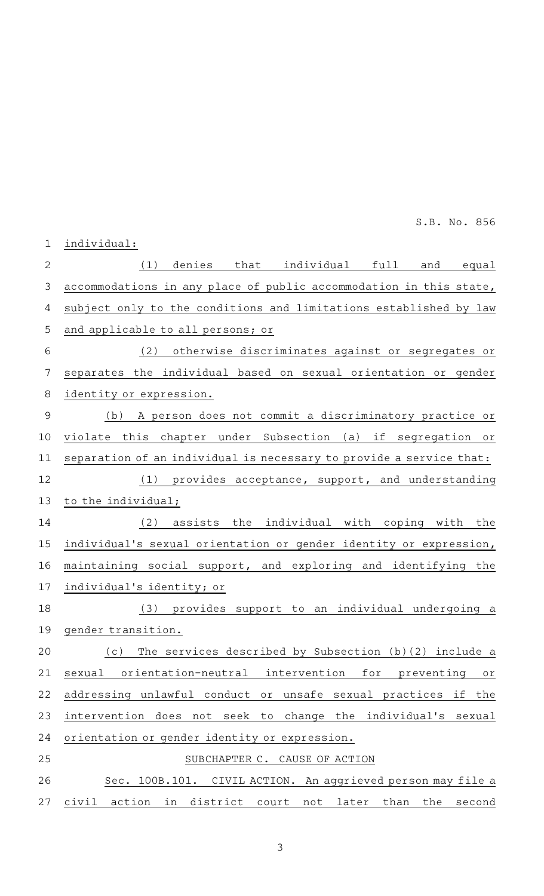individual: (1) denies that individual full and equal accommodations in any place of public accommodation in this state, subject only to the conditions and limitations established by law and applicable to all persons; or (2) otherwise discriminates against or segregates or separates the individual based on sexual orientation or gender identity or expression. (b) A person does not commit a discriminatory practice or violate this chapter under Subsection (a) if segregation or separation of an individual is necessary to provide a service that: (1) provides acceptance, support, and understanding to the individual;  $(2)$  assists the individual with coping with the individual's sexual orientation or gender identity or expression, maintaining social support, and exploring and identifying the individual's identity; or (3) provides support to an individual undergoing a gender transition. (c) The services described by Subsection (b)(2) include a sexual orientation-neutral intervention for preventing or addressing unlawful conduct or unsafe sexual practices if the intervention does not seek to change the individual's sexual orientation or gender identity or expression. SUBCHAPTER C. CAUSE OF ACTION Sec. 100B.101. CIVIL ACTION. An aggrieved person may file a civil action in district court not later than the second 1 2 3 4 5 6 7 8 9 10 11 12 13 14 15 16 17 18 19 20 21 22 23 24 25 26 27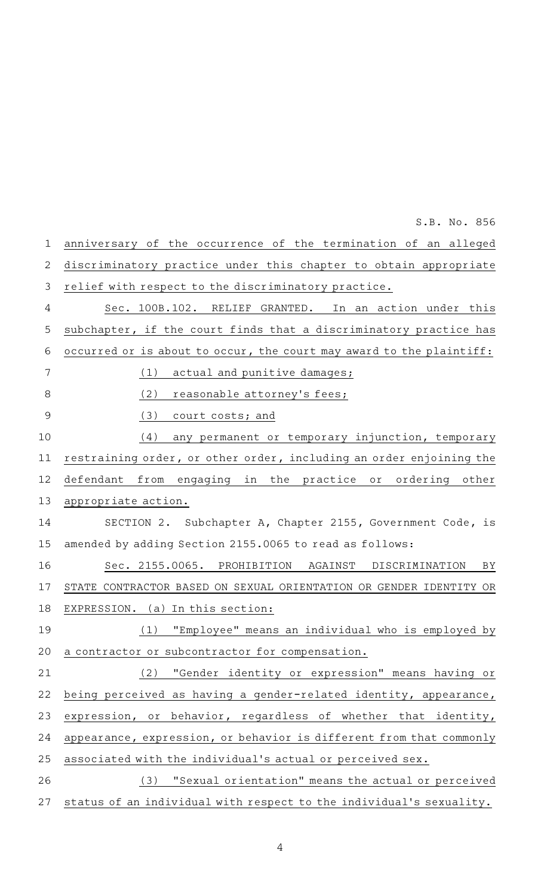anniversary of the occurrence of the termination of an alleged discriminatory practice under this chapter to obtain appropriate relief with respect to the discriminatory practice. Sec. 100B.102. RELIEF GRANTED. In an action under this subchapter, if the court finds that a discriminatory practice has occurred or is about to occur, the court may award to the plaintiff:  $(1)$  actual and punitive damages; (2) reasonable attorney's fees; (3) court costs; and (4) any permanent or temporary injunction, temporary restraining order, or other order, including an order enjoining the defendant from engaging in the practice or ordering other appropriate action. SECTION 2. Subchapter A, Chapter 2155, Government Code, is amended by adding Section 2155.0065 to read as follows: Sec. 2155.0065. PROHIBITION AGAINST DISCRIMINATION BY STATE CONTRACTOR BASED ON SEXUAL ORIENTATION OR GENDER IDENTITY OR EXPRESSION. (a) In this section: (1) "Employee" means an individual who is employed by a contractor or subcontractor for compensation. (2) "Gender identity or expression" means having or being perceived as having a gender-related identity, appearance, expression, or behavior, regardless of whether that identity, appearance, expression, or behavior is different from that commonly associated with the individual 's actual or perceived sex. (3) "Sexual orientation" means the actual or perceived status of an individual with respect to the individual 's sexuality. 1 2 3 4 5 6 7 8 9 10 11 12 13 14 15 16 17 18 19 20 21 22 23 24 25 26 27

S.B. No. 856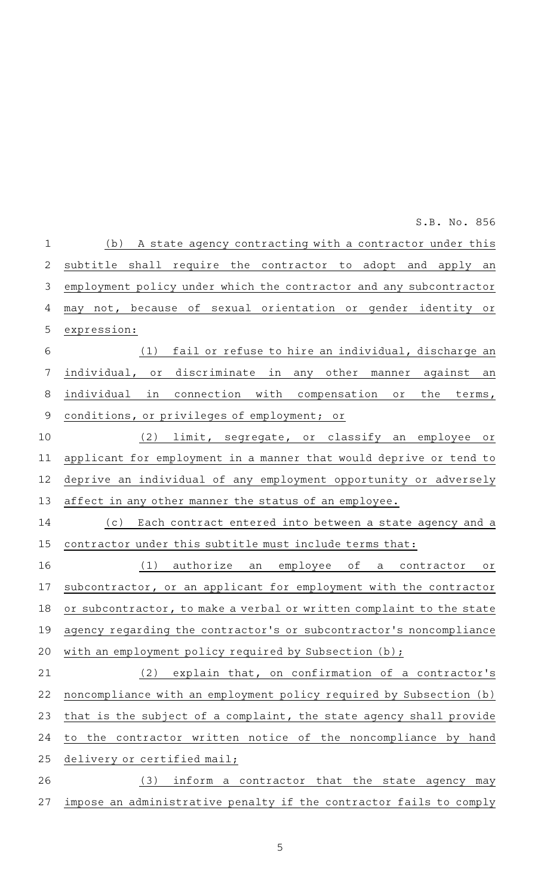(b) A state agency contracting with a contractor under this subtitle shall require the contractor to adopt and apply an employment policy under which the contractor and any subcontractor may not, because of sexual orientation or gender identity or expression: (1) fail or refuse to hire an individual, discharge an individual, or discriminate in any other manner against an individual in connection with compensation or the terms, conditions, or privileges of employment; or (2) limit, segregate, or classify an employee or applicant for employment in a manner that would deprive or tend to deprive an individual of any employment opportunity or adversely affect in any other manner the status of an employee. (c) Each contract entered into between a state agency and a contractor under this subtitle must include terms that: (1) authorize an employee of a contractor or subcontractor, or an applicant for employment with the contractor or subcontractor, to make a verbal or written complaint to the state agency regarding the contractor 's or subcontractor 's noncompliance with an employment policy required by Subsection (b);  $(2)$  explain that, on confirmation of a contractor's noncompliance with an employment policy required by Subsection (b) that is the subject of a complaint, the state agency shall provide to the contractor written notice of the noncompliance by hand delivery or certified mail; (3) inform a contractor that the state agency may 1 2 3 4 5 6 7 8 9 10 11 12 13 14 15 16 17 18 19 20 21 22 23 24 25 26 S.B. No. 856

impose an administrative penalty if the contractor fails to comply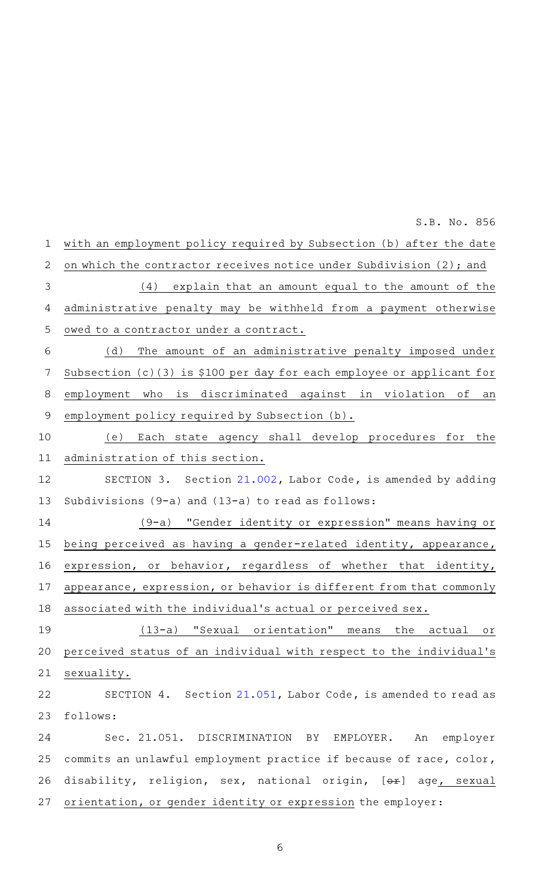with an employment policy required by Subsection (b) after the date on which the contractor receives notice under Subdivision (2); and  $(4)$  explain that an amount equal to the amount of the administrative penalty may be withheld from a payment otherwise owed to a contractor under a contract. (d) The amount of an administrative penalty imposed under Subsection (c)(3) is \$100 per day for each employee or applicant for employment who is discriminated against in violation of an employment policy required by Subsection (b). (e) Each state agency shall develop procedures for the administration of this section. SECTION 3. Section [21.002,](http://www.statutes.legis.state.tx.us/GetStatute.aspx?Code=LA&Value=21.002&Date=3/2/2015) Labor Code, is amended by adding Subdivisions (9-a) and (13-a) to read as follows: (9-a)AA"Gender identity or expression" means having or being perceived as having a gender-related identity, appearance, expression, or behavior, regardless of whether that identity, appearance, expression, or behavior is different from that commonly associated with the individual 's actual or perceived sex. (13-a) "Sexual orientation" means the actual or perceived status of an individual with respect to the individual 's sexuality. SECTION 4. Section [21.051](http://www.statutes.legis.state.tx.us/GetStatute.aspx?Code=LA&Value=21.051&Date=3/2/2015), Labor Code, is amended to read as follows: Sec. 21.051. DISCRIMINATION BY EMPLOYER. An employer commits an unlawful employment practice if because of race, color, disability, religion, sex, national origin, [ox] age, sexual orientation, or gender identity or expression the employer: 1 2 3 4 5 6 7 8 9 10 11 12 13 14 15 16 17 18 19 20 21 22 23 24 25 26 27 S.B. No. 856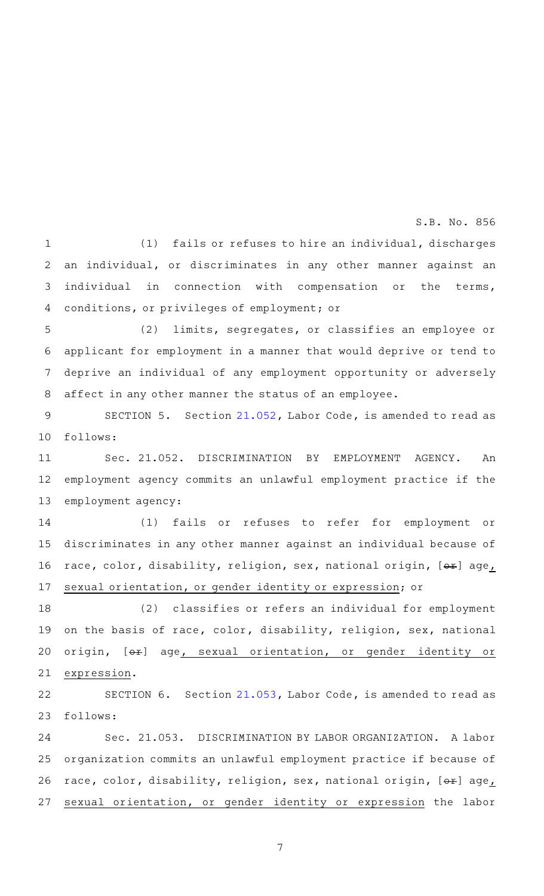(1) fails or refuses to hire an individual, discharges an individual, or discriminates in any other manner against an individual in connection with compensation or the terms, conditions, or privileges of employment; or 1 2 3 4

(2) limits, segregates, or classifies an employee or applicant for employment in a manner that would deprive or tend to deprive an individual of any employment opportunity or adversely affect in any other manner the status of an employee. 5 6 7 8

SECTION 5. Section [21.052](http://www.statutes.legis.state.tx.us/GetStatute.aspx?Code=LA&Value=21.052&Date=3/2/2015), Labor Code, is amended to read as follows: 9 10

Sec. 21.052. DISCRIMINATION BY EMPLOYMENT AGENCY. An employment agency commits an unlawful employment practice if the employment agency: 11 12 13

(1) fails or refuses to refer for employment or discriminates in any other manner against an individual because of race, color, disability, religion, sex, national origin, [ox] age, sexual orientation, or gender identity or expression; or 14 15 16 17

(2) classifies or refers an individual for employment on the basis of race, color, disability, religion, sex, national origin, [ox] age, sexual orientation, or gender identity or expression. 18 19 20 21

SECTION 6. Section [21.053](http://www.statutes.legis.state.tx.us/GetStatute.aspx?Code=LA&Value=21.053&Date=3/2/2015), Labor Code, is amended to read as follows: 22 23

Sec. 21.053. DISCRIMINATION BY LABOR ORGANIZATION. A labor organization commits an unlawful employment practice if because of race, color, disability, religion, sex, national origin,  $[+]$  age, sexual orientation, or gender identity or expression the labor 24 25 26 27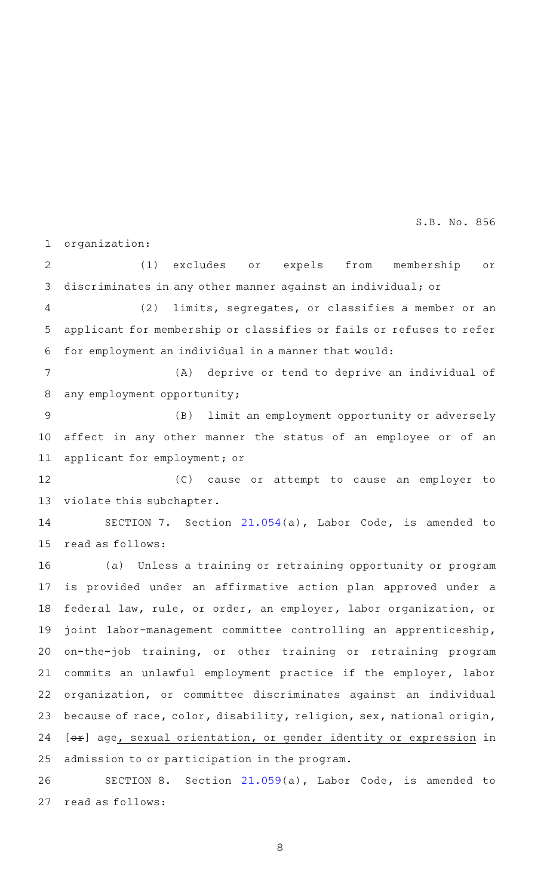organization: 1

(1) excludes or expels from membership or discriminates in any other manner against an individual; or 2 3

(2) limits, segregates, or classifies a member or an applicant for membership or classifies or fails or refuses to refer for employment an individual in a manner that would: 4 5 6

(A) deprive or tend to deprive an individual of any employment opportunity; 7 8

(B) limit an employment opportunity or adversely affect in any other manner the status of an employee or of an applicant for employment; or 9 10 11

(C) cause or attempt to cause an employer to violate this subchapter. 12 13

SECTION 7. Section [21.054\(](http://www.statutes.legis.state.tx.us/GetStatute.aspx?Code=LA&Value=21.054&Date=3/2/2015)a), Labor Code, is amended to read as follows: 14 15

(a) Unless a training or retraining opportunity or program is provided under an affirmative action plan approved under a federal law, rule, or order, an employer, labor organization, or joint labor-management committee controlling an apprenticeship, on-the-job training, or other training or retraining program commits an unlawful employment practice if the employer, labor organization, or committee discriminates against an individual because of race, color, disability, religion, sex, national origin, [ $\Theta$ ) age, sexual orientation, or gender identity or expression in admission to or participation in the program. 16 17 18 19 20 21 22 23 24 25

SECTION 8. Section [21.059\(](http://www.statutes.legis.state.tx.us/GetStatute.aspx?Code=LA&Value=21.059&Date=3/2/2015)a), Labor Code, is amended to read as follows: 26 27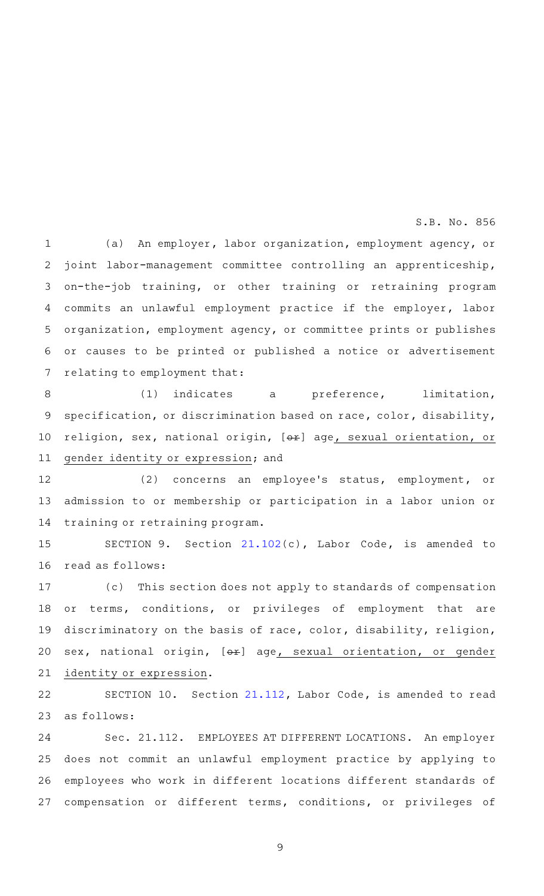(a) An employer, labor organization, employment agency, or joint labor-management committee controlling an apprenticeship, on-the-job training, or other training or retraining program commits an unlawful employment practice if the employer, labor organization, employment agency, or committee prints or publishes or causes to be printed or published a notice or advertisement relating to employment that: 1 2 3 4 5 6 7

(1) indicates a preference, limitation, specification, or discrimination based on race, color, disability, religion, sex, national origin, [or] age, sexual orientation, or gender identity or expression; and 8 9 10 11

(2) concerns an employee's status, employment, or admission to or membership or participation in a labor union or training or retraining program. 12 13 14

SECTION 9. Section [21.102\(](http://www.statutes.legis.state.tx.us/GetStatute.aspx?Code=LA&Value=21.102&Date=3/2/2015)c), Labor Code, is amended to read as follows: 15 16

(c) This section does not apply to standards of compensation or terms, conditions, or privileges of employment that are discriminatory on the basis of race, color, disability, religion, sex, national origin, [ox] age, sexual orientation, or gender identity or expression. 17 18 19 20 21

SECTION 10. Section [21.112](http://www.statutes.legis.state.tx.us/GetStatute.aspx?Code=LA&Value=21.112&Date=3/2/2015), Labor Code, is amended to read as follows: 22 23

Sec. 21.112. EMPLOYEES AT DIFFERENT LOCATIONS. An employer does not commit an unlawful employment practice by applying to employees who work in different locations different standards of compensation or different terms, conditions, or privileges of 24 25 26 27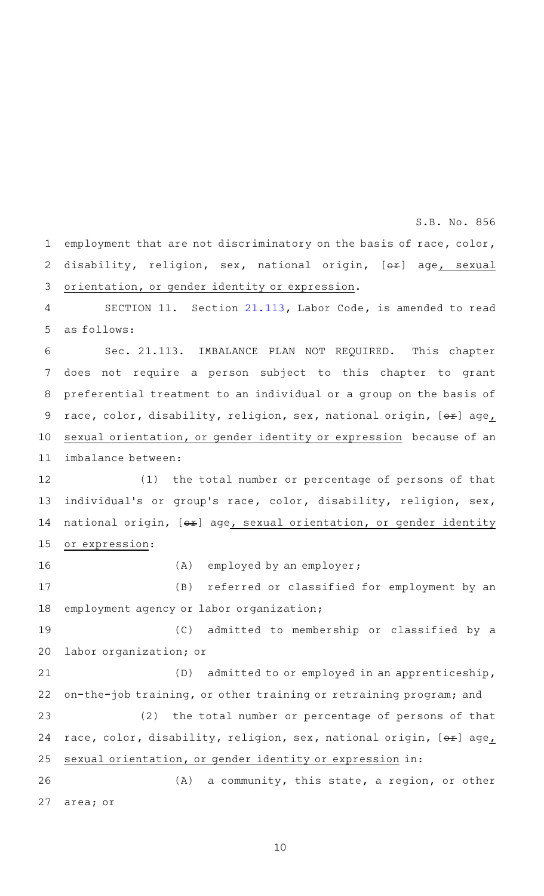employment that are not discriminatory on the basis of race, color, disability, religion, sex, national origin, [ox] age, sexual orientation, or gender identity or expression. SECTION 11. Section [21.113](http://www.statutes.legis.state.tx.us/GetStatute.aspx?Code=LA&Value=21.113&Date=3/2/2015), Labor Code, is amended to read as follows: Sec. 21.113. IMBALANCE PLAN NOT REQUIRED. This chapter does not require a person subject to this chapter to grant preferential treatment to an individual or a group on the basis of race, color, disability, religion, sex, national origin,  $[+]$  age, sexual orientation, or gender identity or expression because of an imbalance between: (1) the total number or percentage of persons of that individual's or group's race, color, disability, religion, sex, national origin,  $[ $\leftrightarrow$ ] age$ , sexual orientation, or gender identity or expression:  $(A)$  employed by an employer; (B) referred or classified for employment by an employment agency or labor organization; (C) admitted to membership or classified by a labor organization; or (D) admitted to or employed in an apprenticeship, on-the-job training, or other training or retraining program; and (2) the total number or percentage of persons of that race, color, disability, religion, sex, national origin, [or] age, sexual orientation, or gender identity or expression in:  $(A)$  a community, this state, a region, or other area; or 1 2 3 4 5 6 7 8 9 10 11 12 13 14 15 16 17 18 19 20 21 22 23 24 25 26 27

S.B. No. 856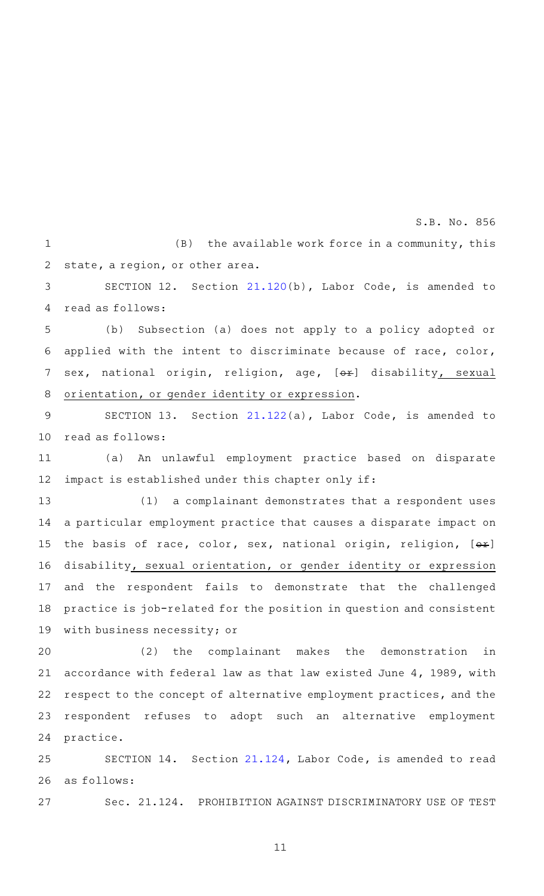$(B)$  the available work force in a community, this state, a region, or other area. 1 2

SECTION 12. Section [21.120\(](http://www.statutes.legis.state.tx.us/GetStatute.aspx?Code=LA&Value=21.120&Date=3/2/2015)b), Labor Code, is amended to read as follows: 3 4

(b) Subsection (a) does not apply to a policy adopted or applied with the intent to discriminate because of race, color, sex, national origin, religion, age, [or] disability, sexual orientation, or gender identity or expression. 5 6 7 8

SECTION 13. Section [21.122\(](http://www.statutes.legis.state.tx.us/GetStatute.aspx?Code=LA&Value=21.122&Date=3/2/2015)a), Labor Code, is amended to read as follows: 9 10

(a) An unlawful employment practice based on disparate impact is established under this chapter only if: 11 12

(1) a complainant demonstrates that a respondent uses a particular employment practice that causes a disparate impact on the basis of race, color, sex, national origin, religion,  $[ $\Theta F$ ]$ disability, sexual orientation, or gender identity or expression and the respondent fails to demonstrate that the challenged practice is job-related for the position in question and consistent with business necessity; or 13 14 15 16 17 18 19

(2) the complainant makes the demonstration in accordance with federal law as that law existed June 4, 1989, with respect to the concept of alternative employment practices, and the respondent refuses to adopt such an alternative employment practice. 20 21 22 23 24

SECTION 14. Section [21.124](http://www.statutes.legis.state.tx.us/GetStatute.aspx?Code=LA&Value=21.124&Date=3/2/2015), Labor Code, is amended to read as follows: 25 26

27

Sec. 21.124. PROHIBITION AGAINST DISCRIMINATORY USE OF TEST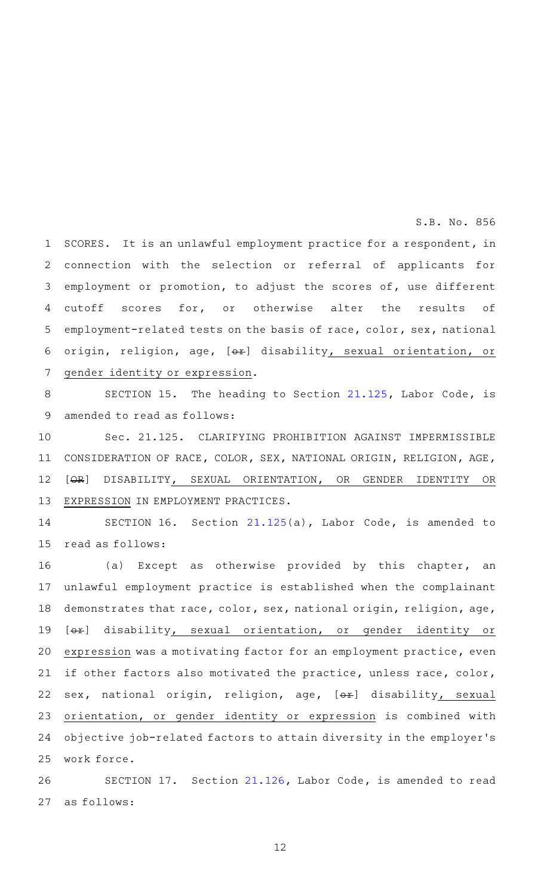SCORES. It is an unlawful employment practice for a respondent, in connection with the selection or referral of applicants for employment or promotion, to adjust the scores of, use different cutoff scores for, or otherwise alter the results of employment-related tests on the basis of race, color, sex, national origin, religion, age, [Ox] disability, sexual orientation, or gender identity or expression. 1 2 3 4 5 6 7

SECTION 15. The heading to Section [21.125](http://www.statutes.legis.state.tx.us/GetStatute.aspx?Code=LA&Value=21.125&Date=3/2/2015), Labor Code, is amended to read as follows: 8 9

Sec. 21.125. CLARIFYING PROHIBITION AGAINST IMPERMISSIBLE CONSIDERATION OF RACE, COLOR, SEX, NATIONAL ORIGIN, RELIGION, AGE, [OR] DISABILITY, SEXUAL ORIENTATION, OR GENDER IDENTITY OR EXPRESSION IN EMPLOYMENT PRACTICES. 10 11 12 13

SECTION 16. Section  $21.125(a)$  $21.125(a)$ , Labor Code, is amended to read as follows: 14 15

(a) Except as otherwise provided by this chapter, an unlawful employment practice is established when the complainant demonstrates that race, color, sex, national origin, religion, age, [ $\Theta$ ) disability, sexual orientation, or gender identity or expression was a motivating factor for an employment practice, even if other factors also motivated the practice, unless race, color, sex, national origin, religion, age, [ox] disability, sexual orientation, or gender identity or expression is combined with objective job-related factors to attain diversity in the employer 's work force. 16 17 18 19 20 21 22 23 24 25

SECTION 17. Section [21.126](http://www.statutes.legis.state.tx.us/GetStatute.aspx?Code=LA&Value=21.126&Date=3/2/2015), Labor Code, is amended to read as follows: 26 27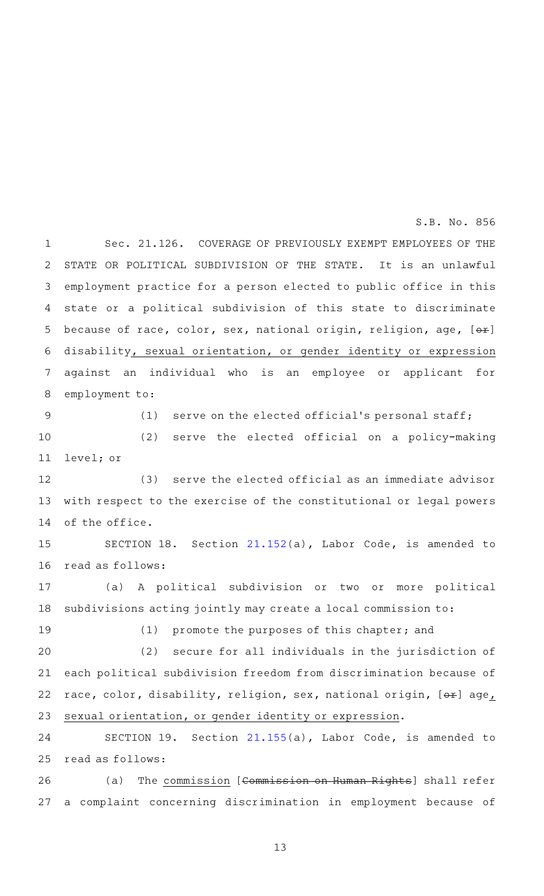Sec. 21.126. COVERAGE OF PREVIOUSLY EXEMPT EMPLOYEES OF THE STATE OR POLITICAL SUBDIVISION OF THE STATE. It is an unlawful employment practice for a person elected to public office in this state or a political subdivision of this state to discriminate because of race, color, sex, national origin, religion, age,  $[ $\Theta F$ ]$ disability, sexual orientation, or gender identity or expression against an individual who is an employee or applicant for employment to: 1 2 3 4 5 6 7 8

9

(1) serve on the elected official's personal staff;

S.B. No. 856

(2) serve the elected official on a policy-making level; or 10 11

(3) serve the elected official as an immediate advisor with respect to the exercise of the constitutional or legal powers of the office. 12 13 14

SECTION 18. Section [21.152\(](http://www.statutes.legis.state.tx.us/GetStatute.aspx?Code=LA&Value=21.152&Date=3/2/2015)a), Labor Code, is amended to read as follows: 15 16

(a) A political subdivision or two or more political subdivisions acting jointly may create a local commission to: 17 18

19

(1) promote the purposes of this chapter; and

 $(2)$  secure for all individuals in the jurisdiction of each political subdivision freedom from discrimination because of race, color, disability, religion, sex, national origin, [ox] age, sexual orientation, or gender identity or expression. 20 21 22 23

SECTION 19. Section [21.155\(](http://www.statutes.legis.state.tx.us/GetStatute.aspx?Code=LA&Value=21.155&Date=3/2/2015)a), Labor Code, is amended to read as follows: 24 25

(a) The commission [Commission on Human Rights] shall refer a complaint concerning discrimination in employment because of 26 27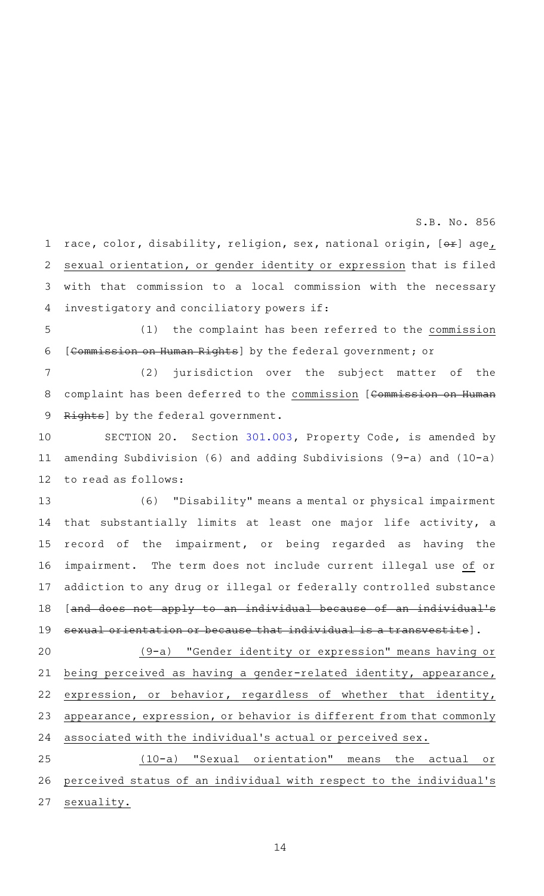race, color, disability, religion, sex, national origin, [ox] age, sexual orientation, or gender identity or expression that is filed with that commission to a local commission with the necessary investigatory and conciliatory powers if: 1 2 3 4

 $(1)$  the complaint has been referred to the commission [Commission on Human Rights] by the federal government; or 5 6

 $(2)$  jurisdiction over the subject matter of the complaint has been deferred to the commission [Commission on Human Rights] by the federal government. 7 8 9

SECTION 20. Section [301.003](http://www.statutes.legis.state.tx.us/GetStatute.aspx?Code=PR&Value=301.003&Date=3/2/2015), Property Code, is amended by amending Subdivision (6) and adding Subdivisions (9-a) and (10-a) to read as follows: 10 11 12

(6) "Disability" means a mental or physical impairment that substantially limits at least one major life activity, a record of the impairment, or being regarded as having the impairment. The term does not include current illegal use of or addiction to any drug or illegal or federally controlled substance [and does not apply to an individual because of an individual's sexual orientation or because that individual is a transvestite]. 13 14 15 16 17 18 19

(9-a)AA"Gender identity or expression" means having or being perceived as having a gender-related identity, appearance, expression, or behavior, regardless of whether that identity, appearance, expression, or behavior is different from that commonly associated with the individual 's actual or perceived sex. 20 21 22 23 24

 $(10-a)$  "Sexual orientation" means the actual or perceived status of an individual with respect to the individual 's sexuality. 25 26 27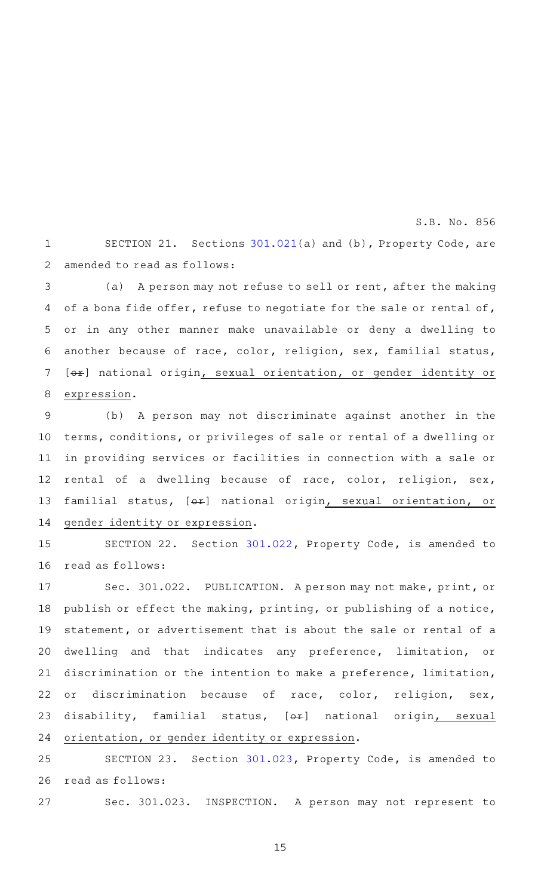SECTION 21. Sections  $301.021(a)$  $301.021(a)$  and (b), Property Code, are amended to read as follows: 1 2

S.B. No. 856

(a) A person may not refuse to sell or rent, after the making of a bona fide offer, refuse to negotiate for the sale or rental of, or in any other manner make unavailable or deny a dwelling to another because of race, color, religion, sex, familial status, [ $\Theta$ ) national origin, sexual orientation, or gender identity or expression. 3 4 5 6 7 8

(b) A person may not discriminate against another in the terms, conditions, or privileges of sale or rental of a dwelling or in providing services or facilities in connection with a sale or rental of a dwelling because of race, color, religion, sex, familial status, [ $\Theta$ ¥] national origin, sexual orientation, or gender identity or expression. 9 10 11 12 13 14

SECTION 22. Section [301.022](http://www.statutes.legis.state.tx.us/GetStatute.aspx?Code=PR&Value=301.022&Date=3/2/2015), Property Code, is amended to read as follows: 15 16

Sec. 301.022. PUBLICATION. A person may not make, print, or publish or effect the making, printing, or publishing of a notice, statement, or advertisement that is about the sale or rental of a dwelling and that indicates any preference, limitation, or discrimination or the intention to make a preference, limitation, or discrimination because of race, color, religion, sex, disability, familial status, [ex] national origin, sexual orientation, or gender identity or expression. 17 18 19 20 21 22 23 24

SECTION 23. Section [301.023](http://www.statutes.legis.state.tx.us/GetStatute.aspx?Code=PR&Value=301.023&Date=3/2/2015), Property Code, is amended to read as follows: 25 26

Sec. 301.023. INSPECTION. A person may not represent to 27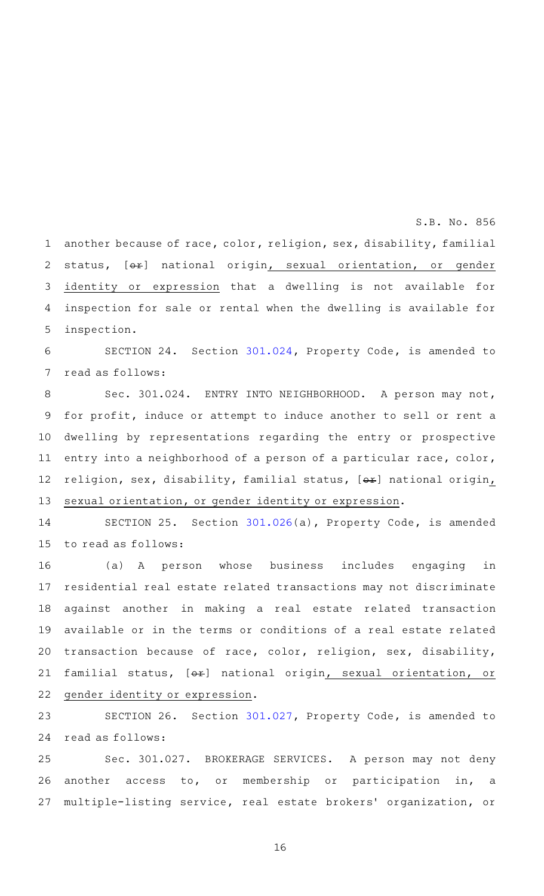another because of race, color, religion, sex, disability, familial status, [ox] national origin, sexual orientation, or gender identity or expression that a dwelling is not available for inspection for sale or rental when the dwelling is available for inspection. 1 2 3 4 5

SECTION 24. Section [301.024](http://www.statutes.legis.state.tx.us/GetStatute.aspx?Code=PR&Value=301.024&Date=3/2/2015), Property Code, is amended to read as follows: 6 7

Sec. 301.024. ENTRY INTO NEIGHBORHOOD. A person may not, for profit, induce or attempt to induce another to sell or rent a dwelling by representations regarding the entry or prospective entry into a neighborhood of a person of a particular race, color, religion, sex, disability, familial status,  $[ $\theta$  + $\theta$ ]$  national origin, sexual orientation, or gender identity or expression. 8 9 10 11 12 13

SECTION 25. Section [301.026](http://www.statutes.legis.state.tx.us/GetStatute.aspx?Code=PR&Value=301.026&Date=3/2/2015)(a), Property Code, is amended to read as follows: 14 15

(a)AAA person whose business includes engaging in residential real estate related transactions may not discriminate against another in making a real estate related transaction available or in the terms or conditions of a real estate related transaction because of race, color, religion, sex, disability, familial status, [ $\Theta$ ¥] national origin, sexual orientation, or gender identity or expression. 16 17 18 19 20 21 22

SECTION 26. Section [301.027](http://www.statutes.legis.state.tx.us/GetStatute.aspx?Code=PR&Value=301.027&Date=3/2/2015), Property Code, is amended to read as follows: 23 24

Sec. 301.027. BROKERAGE SERVICES. A person may not deny another access to, or membership or participation in, a multiple-listing service, real estate brokers' organization, or 25 26 27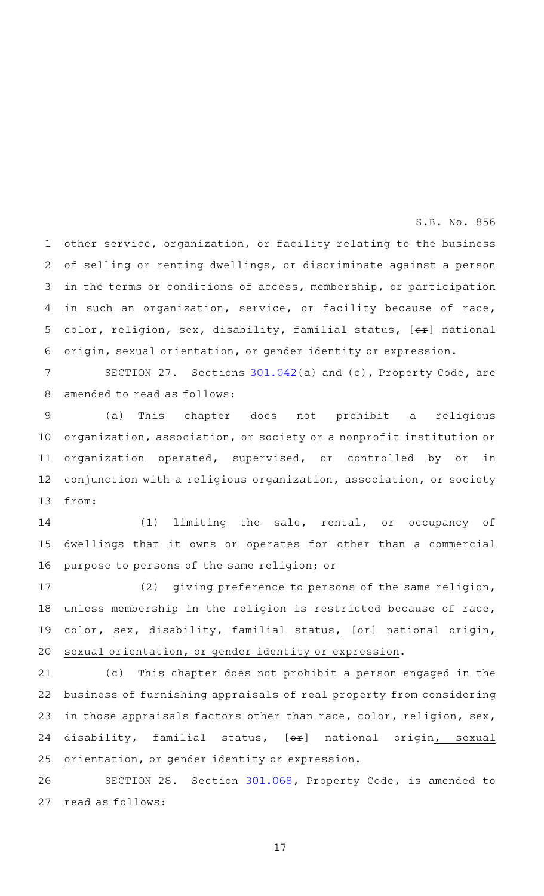other service, organization, or facility relating to the business of selling or renting dwellings, or discriminate against a person in the terms or conditions of access, membership, or participation in such an organization, service, or facility because of race, color, religion, sex, disability, familial status, [or] national origin, sexual orientation, or gender identity or expression. 1 2 3 4 5 6

SECTION 27. Sections  $301.042(a)$  $301.042(a)$  and (c), Property Code, are amended to read as follows: 7 8

(a) This chapter does not prohibit a religious organization, association, or society or a nonprofit institution or organization operated, supervised, or controlled by or in conjunction with a religious organization, association, or society from: 9 10 11 12 13

 $(1)$  limiting the sale, rental, or occupancy of dwellings that it owns or operates for other than a commercial purpose to persons of the same religion; or 14 15 16

(2) giving preference to persons of the same religion, unless membership in the religion is restricted because of race, color, sex, disability, familial status, [ox] national origin, sexual orientation, or gender identity or expression. 17 18 19 20

(c) This chapter does not prohibit a person engaged in the business of furnishing appraisals of real property from considering in those appraisals factors other than race, color, religion, sex, disability, familial status, [ex] national origin, sexual orientation, or gender identity or expression. 21 22 23 24 25

SECTION 28. Section [301.068](http://www.statutes.legis.state.tx.us/GetStatute.aspx?Code=PR&Value=301.068&Date=3/2/2015), Property Code, is amended to read as follows: 26 27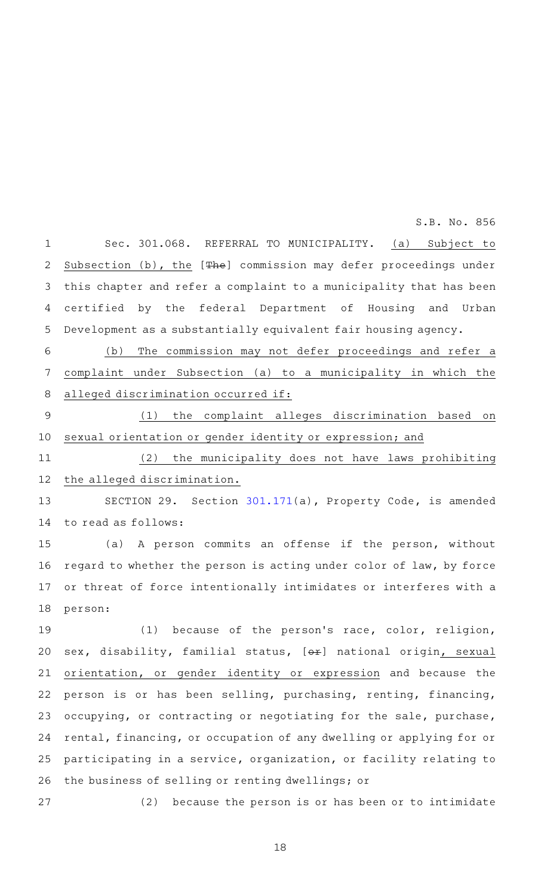Sec. 301.068. REFERRAL TO MUNICIPALITY. (a) Subject to Subsection (b), the [The] commission may defer proceedings under this chapter and refer a complaint to a municipality that has been certified by the federal Department of Housing and Urban Development as a substantially equivalent fair housing agency. 1 2 3 4 5

(b) The commission may not defer proceedings and refer a complaint under Subsection (a) to a municipality in which the alleged discrimination occurred if: 6 7 8

(1) the complaint alleges discrimination based on sexual orientation or gender identity or expression; and 9 10

(2) the municipality does not have laws prohibiting the alleged discrimination. 11 12

SECTION 29. Section [301.171](http://www.statutes.legis.state.tx.us/GetStatute.aspx?Code=PR&Value=301.171&Date=3/2/2015)(a), Property Code, is amended to read as follows: 13 14

(a) A person commits an offense if the person, without regard to whether the person is acting under color of law, by force or threat of force intentionally intimidates or interferes with a person: 15 16 17 18

(1) because of the person's race, color, religion, sex, disability, familial status, [ex] national origin, sexual orientation, or gender identity or expression and because the person is or has been selling, purchasing, renting, financing, occupying, or contracting or negotiating for the sale, purchase, rental, financing, or occupation of any dwelling or applying for or participating in a service, organization, or facility relating to the business of selling or renting dwellings; or 19 20 21 22 23 24 25 26

 $(2)$  because the person is or has been or to intimidate 27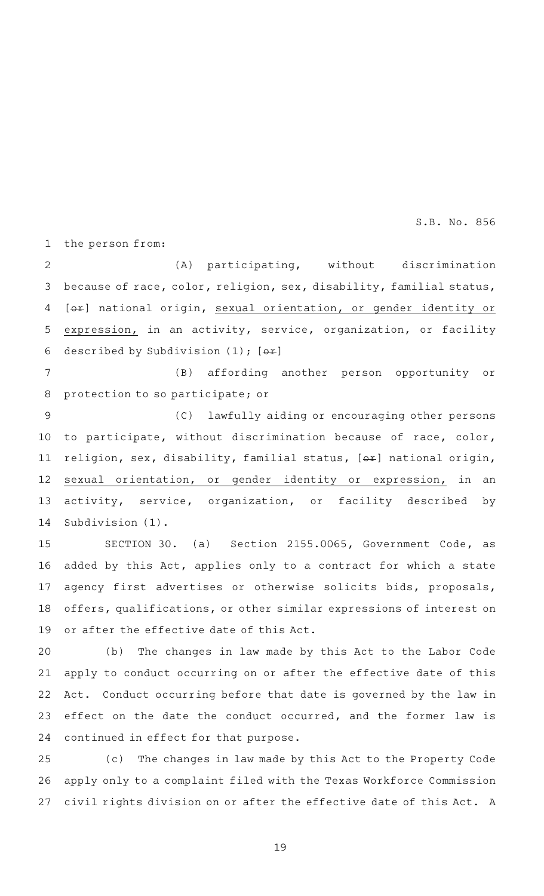the person from: 1

(A) participating, without discrimination because of race, color, religion, sex, disability, familial status, [ $\leftrightarrow$ ] national origin, sexual orientation, or gender identity or expression, in an activity, service, organization, or facility described by Subdivision  $(1)$ ;  $[ $\rightarrow$$ 2 3 4 5 6

(B) affording another person opportunity or protection to so participate; or 7 8

(C) lawfully aiding or encouraging other persons to participate, without discrimination because of race, color, religion, sex, disability, familial status,  $[+]$  national origin, sexual orientation, or gender identity or expression, in an activity, service, organization, or facility described by Subdivision (1). 9 10 11 12 13 14

SECTION 30. (a) Section 2155.0065, Government Code, as added by this Act, applies only to a contract for which a state agency first advertises or otherwise solicits bids, proposals, offers, qualifications, or other similar expressions of interest on or after the effective date of this Act. 15 16 17 18 19

(b) The changes in law made by this Act to the Labor Code apply to conduct occurring on or after the effective date of this Act. Conduct occurring before that date is governed by the law in effect on the date the conduct occurred, and the former law is continued in effect for that purpose. 20 21 22 23 24

(c) The changes in law made by this Act to the Property Code apply only to a complaint filed with the Texas Workforce Commission civil rights division on or after the effective date of this Act. A 25 26 27